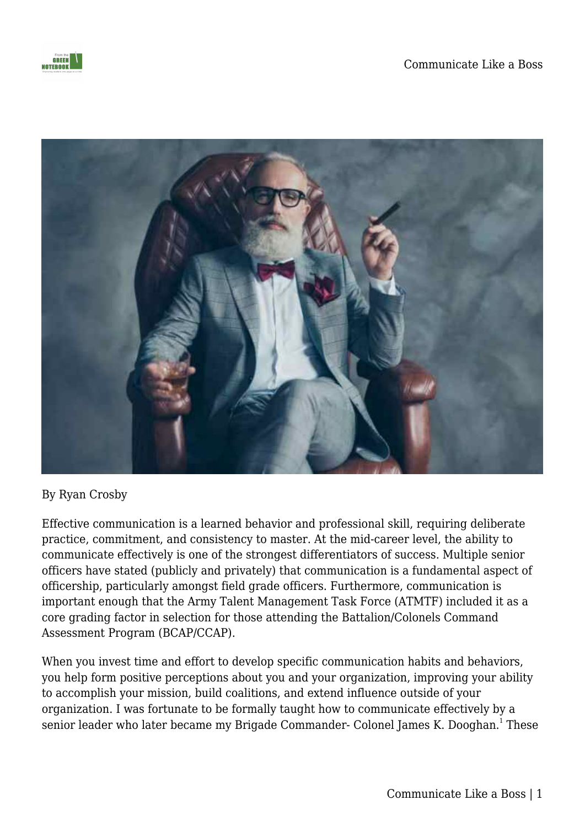



#### By Ryan Crosby

Effective communication is a learned behavior and professional skill, requiring deliberate practice, commitment, and consistency to master. At the mid-career level, the ability to communicate effectively is one of the strongest differentiators of success. Multiple senior officers have stated (publicly and privately) that communication is a fundamental aspect of officership, particularly amongst field grade officers. Furthermore, communication is important enough that the Army Talent Management Task Force (ATMTF) included it as a core grading factor in selection for those attending the Battalion/Colonels Command Assessment Program (BCAP/CCAP).

When you invest time and effort to develop specific communication habits and behaviors, you help form positive perceptions about you and your organization, improving your ability to accomplish your mission, build coalitions, and extend influence outside of your organization. I was fortunate to be formally taught how to communicate effectively by a senior leader who later became my Brigade Commander- Colonel James K. Dooghan. $^{\rm 1}$  These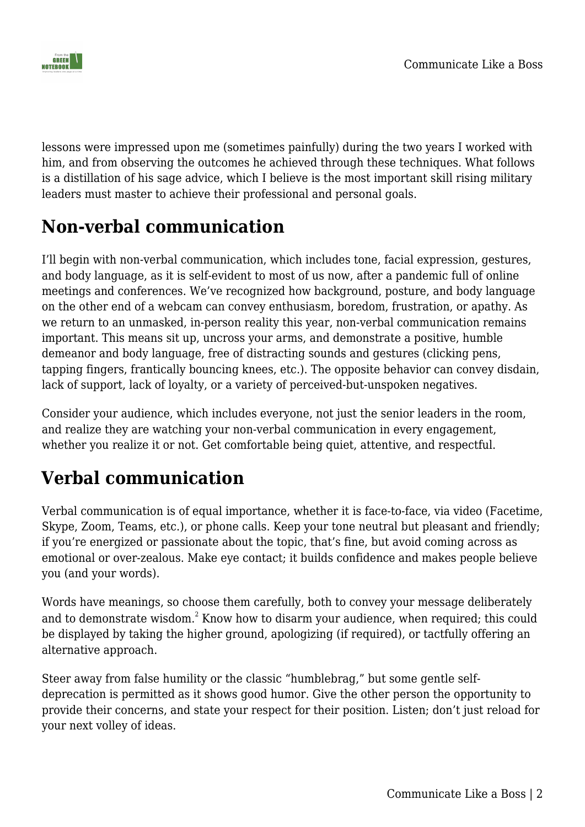

lessons were impressed upon me (sometimes painfully) during the two years I worked with him, and from observing the outcomes he achieved through these techniques. What follows is a distillation of his sage advice, which I believe is the most important skill rising military leaders must master to achieve their professional and personal goals.

## **Non-verbal communication**

I'll begin with non-verbal communication, which includes tone, facial expression, gestures, and body language, as it is self-evident to most of us now, after a pandemic full of online meetings and conferences. We've recognized how background, posture, and body language on the other end of a webcam can convey enthusiasm, boredom, frustration, or apathy. As we return to an unmasked, in-person reality this year, non-verbal communication remains important. This means sit up, uncross your arms, and demonstrate a positive, humble demeanor and body language, free of distracting sounds and gestures (clicking pens, tapping fingers, frantically bouncing knees, etc.). The opposite behavior can convey disdain, lack of support, lack of loyalty, or a variety of perceived-but-unspoken negatives.

Consider your audience, which includes everyone, not just the senior leaders in the room, and realize they are watching your non-verbal communication in every engagement, whether you realize it or not. Get comfortable being quiet, attentive, and respectful.

# **Verbal communication**

Verbal communication is of equal importance, whether it is face-to-face, via video (Facetime, Skype, Zoom, Teams, etc.), or phone calls. Keep your tone neutral but pleasant and friendly; if you're energized or passionate about the topic, that's fine, but avoid coming across as emotional or over-zealous. Make eye contact; it builds confidence and makes people believe you (and your words).

Words have meanings, so choose them carefully, both to convey your message deliberately and to demonstrate wisdom. $^{2}$  Know how to disarm your audience, when required; this could be displayed by taking the higher ground, apologizing (if required), or tactfully offering an alternative approach.

Steer away from false humility or the classic "humblebrag," but some gentle selfdeprecation is permitted as it shows good humor. Give the other person the opportunity to provide their concerns, and state your respect for their position. Listen; don't just reload for your next volley of ideas.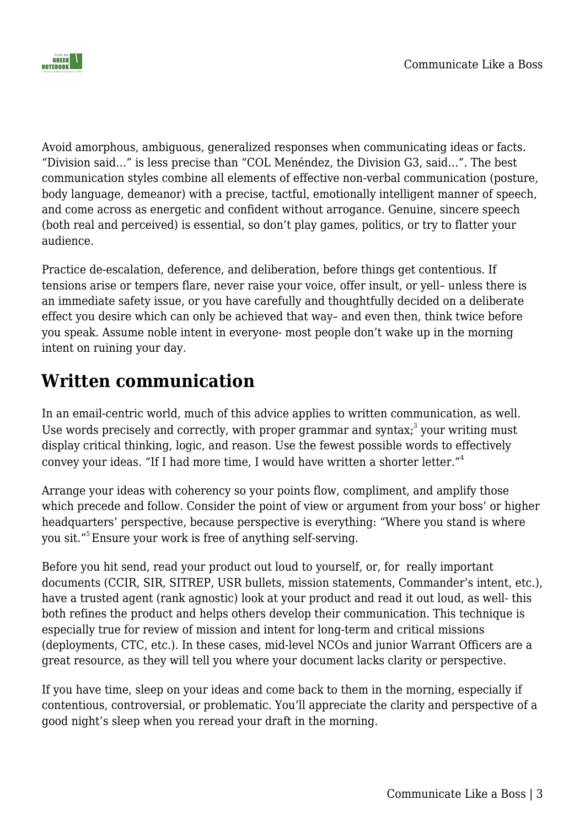

Avoid amorphous, ambiguous, generalized responses when communicating ideas or facts. "Division said…" is less precise than "COL Menéndez, the Division G3, said…". The best communication styles combine all elements of effective non-verbal communication (posture, body language, demeanor) with a precise, tactful, emotionally intelligent manner of speech, and come across as energetic and confident without arrogance. Genuine, sincere speech (both real and perceived) is essential, so don't play games, politics, or try to flatter your audience.

Practice de-escalation, deference, and deliberation, before things get contentious. If tensions arise or tempers flare, never raise your voice, offer insult, or yell– unless there is an immediate safety issue, or you have carefully and thoughtfully decided on a deliberate effect you desire which can only be achieved that way– and even then, think twice before you speak. Assume noble intent in everyone- most people don't wake up in the morning intent on ruining your day.

### **Written communication**

In an email-centric world, much of this advice applies to written communication, as well. Use words precisely and correctly, with proper grammar and syntax; $^3$  your writing must display critical thinking, logic, and reason. Use the fewest possible words to effectively convey your ideas. "If I had more time, I would have written a shorter letter."<sup>4</sup>

Arrange your ideas with coherency so your points flow, compliment, and amplify those which precede and follow. Consider the point of view or argument from your boss' or higher headquarters' perspective, because perspective is everything: "Where you stand is where you sit."<sup>5</sup>Ensure your work is free of anything self-serving.

Before you hit send, read your product out loud to yourself, or, for really important documents (CCIR, SIR, SITREP, USR bullets, mission statements, Commander's intent, etc.), have a trusted agent (rank agnostic) look at your product and read it out loud, as well- this both refines the product and helps others develop their communication. This technique is especially true for review of mission and intent for long-term and critical missions (deployments, CTC, etc.). In these cases, mid-level NCOs and junior Warrant Officers are a great resource, as they will tell you where your document lacks clarity or perspective.

If you have time, sleep on your ideas and come back to them in the morning, especially if contentious, controversial, or problematic. You'll appreciate the clarity and perspective of a good night's sleep when you reread your draft in the morning.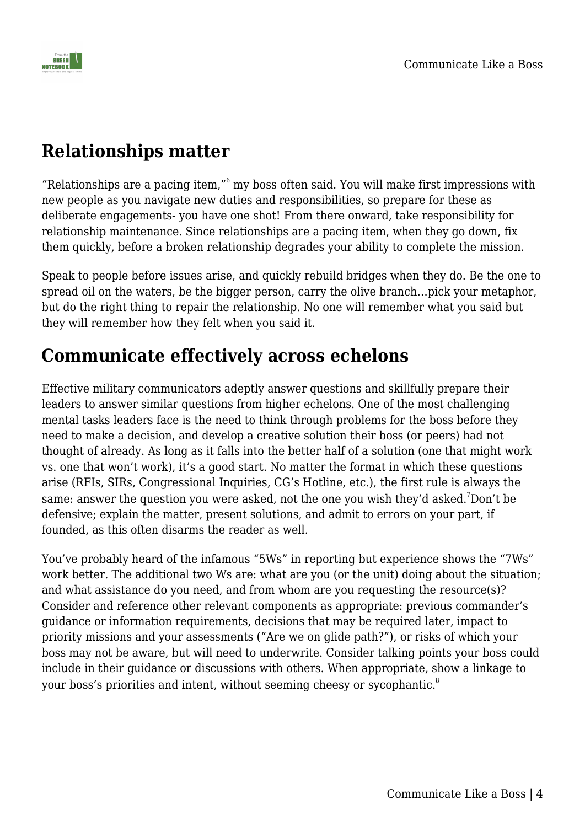

## **Relationships matter**

"Relationships are a pacing item,"<sup>6</sup> my boss often said. You will make first impressions with new people as you navigate new duties and responsibilities, so prepare for these as deliberate engagements- you have one shot! From there onward, take responsibility for relationship maintenance. Since relationships are a pacing item, when they go down, fix them quickly, before a broken relationship degrades your ability to complete the mission.

Speak to people before issues arise, and quickly rebuild bridges when they do. Be the one to spread oil on the waters, be the bigger person, carry the olive branch…pick your metaphor, but do the right thing to repair the relationship. No one will remember what you said but they will remember how they felt when you said it.

### **Communicate effectively across echelons**

Effective military communicators adeptly answer questions and skillfully prepare their leaders to answer similar questions from higher echelons. One of the most challenging mental tasks leaders face is the need to think through problems for the boss before they need to make a decision, and develop a creative solution their boss (or peers) had not thought of already. As long as it falls into the better half of a solution (one that might work vs. one that won't work), it's a good start. No matter the format in which these questions arise (RFIs, SIRs, Congressional Inquiries, CG's Hotline, etc.), the first rule is always the same: answer the question you were asked, not the one you wish they'd asked.<sup>7</sup>Don't be defensive; explain the matter, present solutions, and admit to errors on your part, if founded, as this often disarms the reader as well.

You've probably heard of the infamous "5Ws" in reporting but experience shows the "7Ws" work better. The additional two Ws are: what are you (or the unit) doing about the situation; and what assistance do you need, and from whom are you requesting the resource(s)? Consider and reference other relevant components as appropriate: previous commander's guidance or information requirements, decisions that may be required later, impact to priority missions and your assessments ("Are we on glide path?"), or risks of which your boss may not be aware, but will need to underwrite. Consider talking points your boss could include in their guidance or discussions with others. When appropriate, show a linkage to your boss's priorities and intent, without seeming cheesy or sycophantic.<sup>8</sup>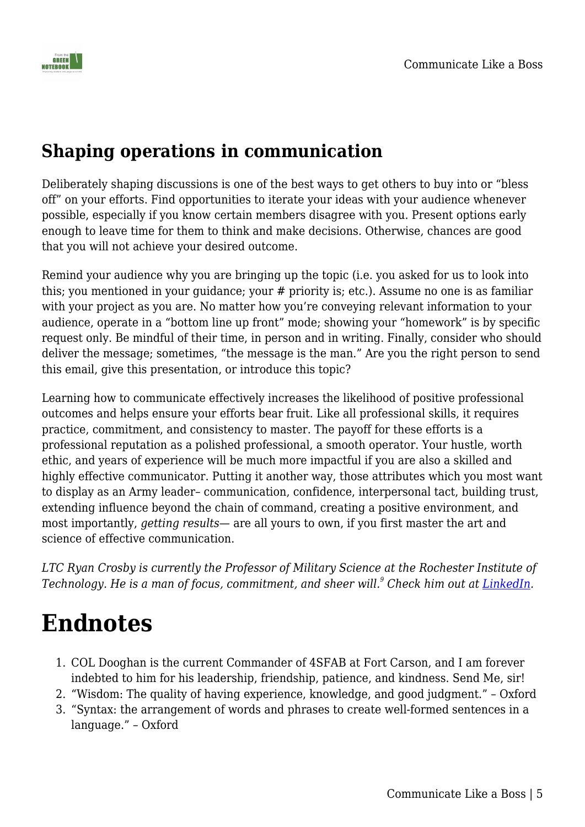### **Shaping operations in communication**

Deliberately shaping discussions is one of the best ways to get others to buy into or "bless off" on your efforts. Find opportunities to iterate your ideas with your audience whenever possible, especially if you know certain members disagree with you. Present options early enough to leave time for them to think and make decisions. Otherwise, chances are good that you will not achieve your desired outcome.

Remind your audience why you are bringing up the topic (i.e. you asked for us to look into this; you mentioned in your guidance; your # priority is; etc.). Assume no one is as familiar with your project as you are. No matter how you're conveying relevant information to your audience, operate in a "bottom line up front" mode; showing your "homework" is by specific request only. Be mindful of their time, in person and in writing. Finally, consider who should deliver the message; sometimes, "the message is the man." Are you the right person to send this email, give this presentation, or introduce this topic?

Learning how to communicate effectively increases the likelihood of positive professional outcomes and helps ensure your efforts bear fruit. Like all professional skills, it requires practice, commitment, and consistency to master. The payoff for these efforts is a professional reputation as a polished professional, a smooth operator. Your hustle, worth ethic, and years of experience will be much more impactful if you are also a skilled and highly effective communicator. Putting it another way, those attributes which you most want to display as an Army leader– communication, confidence, interpersonal tact, building trust, extending influence beyond the chain of command, creating a positive environment, and most importantly, *getting results*— are all yours to own, if you first master the art and science of effective communication.

*LTC Ryan Crosby is currently the Professor of Military Science at the Rochester Institute of Technology. He is a man of focus, commitment, and sheer will.<sup>9</sup> Check him out at [LinkedIn](https://www.linkedin.com/in/ryanmcrosby/).*

# **Endnotes**

- 1. COL Dooghan is the current Commander of 4SFAB at Fort Carson, and I am forever indebted to him for his leadership, friendship, patience, and kindness. Send Me, sir!
- 2. "Wisdom: The quality of having experience, knowledge, and good judgment." Oxford
- 3. "Syntax: the arrangement of words and phrases to create well-formed sentences in a language." – Oxford